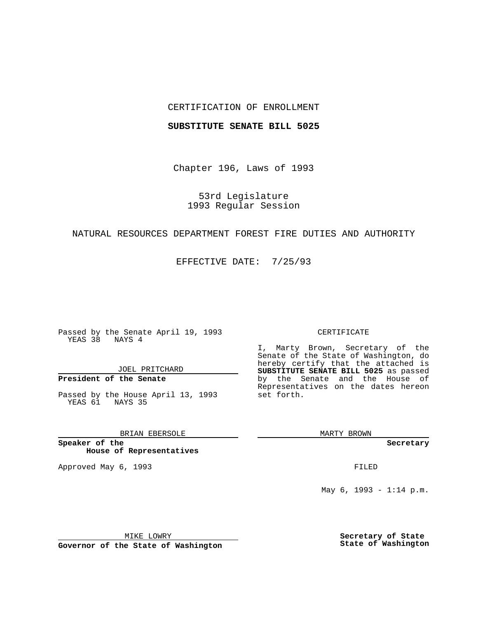## CERTIFICATION OF ENROLLMENT

### **SUBSTITUTE SENATE BILL 5025**

Chapter 196, Laws of 1993

53rd Legislature 1993 Regular Session

# NATURAL RESOURCES DEPARTMENT FOREST FIRE DUTIES AND AUTHORITY

EFFECTIVE DATE: 7/25/93

Passed by the Senate April 19, 1993 YEAS 38 NAYS 4

JOEL PRITCHARD

**President of the Senate**

Passed by the House April 13, 1993 YEAS 61 NAYS 35

BRIAN EBERSOLE

**Speaker of the House of Representatives**

Approved May 6, 1993 **FILED** 

#### CERTIFICATE

I, Marty Brown, Secretary of the Senate of the State of Washington, do hereby certify that the attached is **SUBSTITUTE SENATE BILL 5025** as passed by the Senate and the House of Representatives on the dates hereon set forth.

MARTY BROWN

**Secretary**

May 6, 1993 - 1:14 p.m.

MIKE LOWRY

**Governor of the State of Washington**

**Secretary of State State of Washington**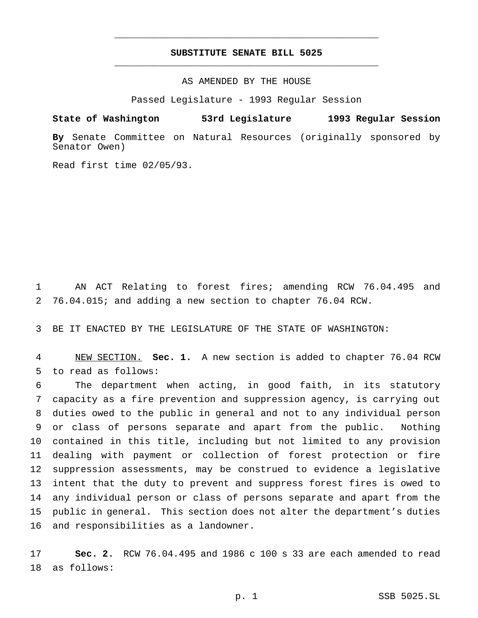# **SUBSTITUTE SENATE BILL 5025** \_\_\_\_\_\_\_\_\_\_\_\_\_\_\_\_\_\_\_\_\_\_\_\_\_\_\_\_\_\_\_\_\_\_\_\_\_\_\_\_\_\_\_\_\_\_\_

\_\_\_\_\_\_\_\_\_\_\_\_\_\_\_\_\_\_\_\_\_\_\_\_\_\_\_\_\_\_\_\_\_\_\_\_\_\_\_\_\_\_\_\_\_\_\_

## AS AMENDED BY THE HOUSE

Passed Legislature - 1993 Regular Session

### **State of Washington 53rd Legislature 1993 Regular Session**

**By** Senate Committee on Natural Resources (originally sponsored by Senator Owen)

Read first time 02/05/93.

 AN ACT Relating to forest fires; amending RCW 76.04.495 and 76.04.015; and adding a new section to chapter 76.04 RCW.

BE IT ENACTED BY THE LEGISLATURE OF THE STATE OF WASHINGTON:

 NEW SECTION. **Sec. 1.** A new section is added to chapter 76.04 RCW to read as follows:

 The department when acting, in good faith, in its statutory capacity as a fire prevention and suppression agency, is carrying out duties owed to the public in general and not to any individual person or class of persons separate and apart from the public. Nothing contained in this title, including but not limited to any provision dealing with payment or collection of forest protection or fire suppression assessments, may be construed to evidence a legislative intent that the duty to prevent and suppress forest fires is owed to any individual person or class of persons separate and apart from the public in general. This section does not alter the department's duties and responsibilities as a landowner.

 **Sec. 2.** RCW 76.04.495 and 1986 c 100 s 33 are each amended to read as follows: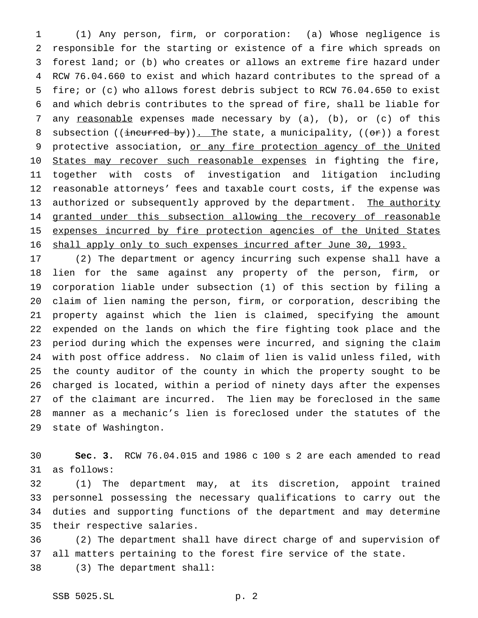(1) Any person, firm, or corporation: (a) Whose negligence is responsible for the starting or existence of a fire which spreads on forest land; or (b) who creates or allows an extreme fire hazard under RCW 76.04.660 to exist and which hazard contributes to the spread of a fire; or (c) who allows forest debris subject to RCW 76.04.650 to exist and which debris contributes to the spread of fire, shall be liable for 7 any reasonable expenses made necessary by (a), (b), or (c) of this 8 subsection ((incurred by)). The state, a municipality, (( $\Theta$ r)) a forest 9 protective association, or any fire protection agency of the United 10 States may recover such reasonable expenses in fighting the fire, together with costs of investigation and litigation including reasonable attorneys' fees and taxable court costs, if the expense was 13 authorized or subsequently approved by the department. The authority 14 granted under this subsection allowing the recovery of reasonable 15 expenses incurred by fire protection agencies of the United States 16 shall apply only to such expenses incurred after June 30, 1993.

 (2) The department or agency incurring such expense shall have a lien for the same against any property of the person, firm, or corporation liable under subsection (1) of this section by filing a claim of lien naming the person, firm, or corporation, describing the property against which the lien is claimed, specifying the amount expended on the lands on which the fire fighting took place and the period during which the expenses were incurred, and signing the claim with post office address. No claim of lien is valid unless filed, with the county auditor of the county in which the property sought to be charged is located, within a period of ninety days after the expenses of the claimant are incurred. The lien may be foreclosed in the same manner as a mechanic's lien is foreclosed under the statutes of the state of Washington.

 **Sec. 3.** RCW 76.04.015 and 1986 c 100 s 2 are each amended to read as follows:

 (1) The department may, at its discretion, appoint trained personnel possessing the necessary qualifications to carry out the duties and supporting functions of the department and may determine their respective salaries.

 (2) The department shall have direct charge of and supervision of all matters pertaining to the forest fire service of the state. (3) The department shall: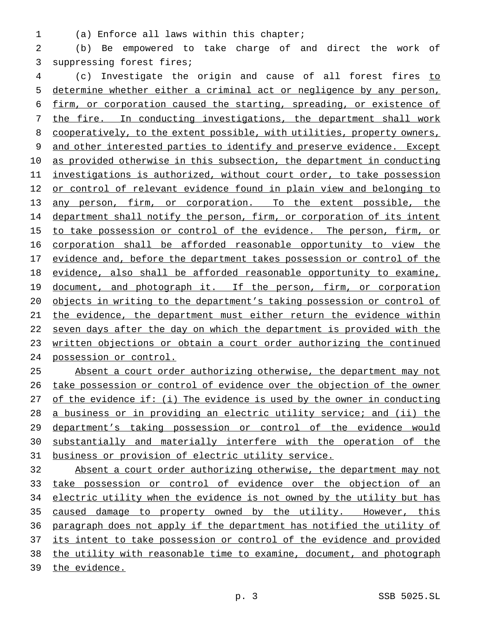(a) Enforce all laws within this chapter;

 (b) Be empowered to take charge of and direct the work of suppressing forest fires;

 (c) Investigate the origin and cause of all forest fires to determine whether either a criminal act or negligence by any person, firm, or corporation caused the starting, spreading, or existence of 7 the fire. In conducting investigations, the department shall work 8 cooperatively, to the extent possible, with utilities, property owners, and other interested parties to identify and preserve evidence. Except as provided otherwise in this subsection, the department in conducting investigations is authorized, without court order, to take possession 12 or control of relevant evidence found in plain view and belonging to any person, firm, or corporation. To the extent possible, the department shall notify the person, firm, or corporation of its intent 15 to take possession or control of the evidence. The person, firm, or corporation shall be afforded reasonable opportunity to view the 17 evidence and, before the department takes possession or control of the evidence, also shall be afforded reasonable opportunity to examine, 19 document, and photograph it. If the person, firm, or corporation objects in writing to the department's taking possession or control of the evidence, the department must either return the evidence within 22 seven days after the day on which the department is provided with the written objections or obtain a court order authorizing the continued possession or control.

 Absent a court order authorizing otherwise, the department may not take possession or control of evidence over the objection of the owner 27 of the evidence if: (i) The evidence is used by the owner in conducting a business or in providing an electric utility service; and (ii) the department's taking possession or control of the evidence would substantially and materially interfere with the operation of the business or provision of electric utility service.

 Absent a court order authorizing otherwise, the department may not take possession or control of evidence over the objection of an 34 electric utility when the evidence is not owned by the utility but has caused damage to property owned by the utility. However, this paragraph does not apply if the department has notified the utility of 37 its intent to take possession or control of the evidence and provided the utility with reasonable time to examine, document, and photograph the evidence.